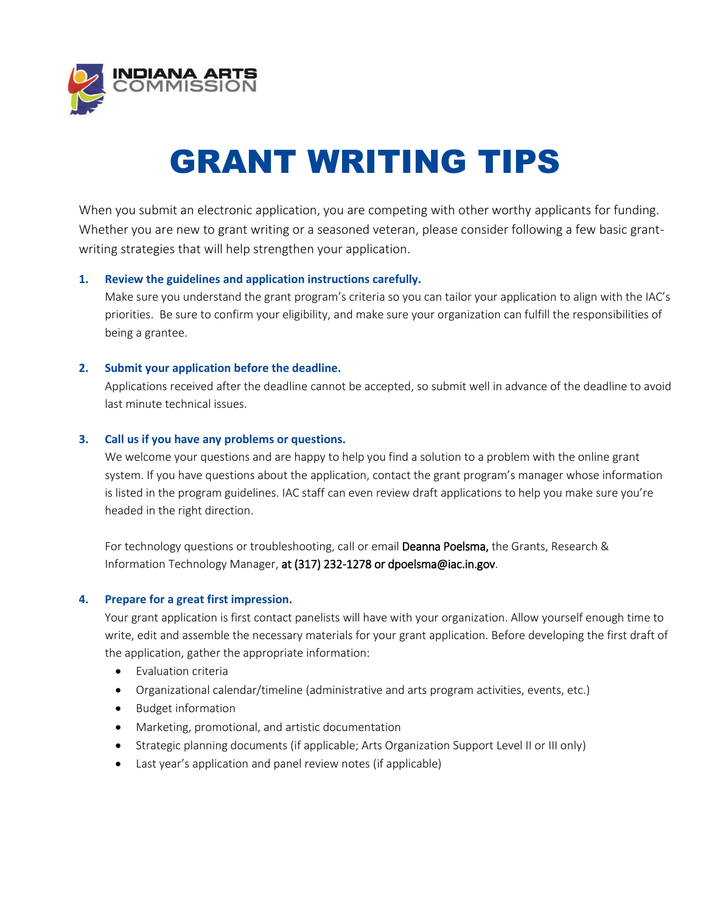

# GRANT WRITING TIPS

When you submit an electronic application, you are competing with other worthy applicants for funding. Whether you are new to grant writing or a seasoned veteran, please consider following a few basic grantwriting strategies that will help strengthen your application.

## **1. Review the guidelines and application instructions carefully.**

Make sure you understand the grant program's criteria so you can tailor your application to align with the IAC's priorities. Be sure to confirm your eligibility, and make sure your organization can fulfill the responsibilities of being a grantee.

## **2. Submit your application before the deadline.**

Applications received after the deadline cannot be accepted, so submit well in advance of the deadline to avoid last minute technical issues.

#### **3. Call us if you have any problems or questions.**

We welcome your questions and are happy to help you find a solution to a problem with the online grant system. If you have questions about the application, contact the grant program's manager whose information is listed in the program guidelines. IAC staff can even review draft applications to help you make sure you're headed in the right direction.

For technology questions or troubleshooting, call or email Deanna Poelsma, the Grants, Research & Information Technology Manager, at (317) 232-1278 or dpoelsma@iac.in.gov.

# **4. Prepare for a great first impression.**

Your grant application is first contact panelists will have with your organization. Allow yourself enough time to write, edit and assemble the necessary materials for your grant application. Before developing the first draft of the application, gather the appropriate information:

- Evaluation criteria
- Organizational calendar/timeline (administrative and arts program activities, events, etc.)
- Budget information
- Marketing, promotional, and artistic documentation
- Strategic planning documents (if applicable; Arts Organization Support Level II or III only)
- Last year's application and panel review notes (if applicable)